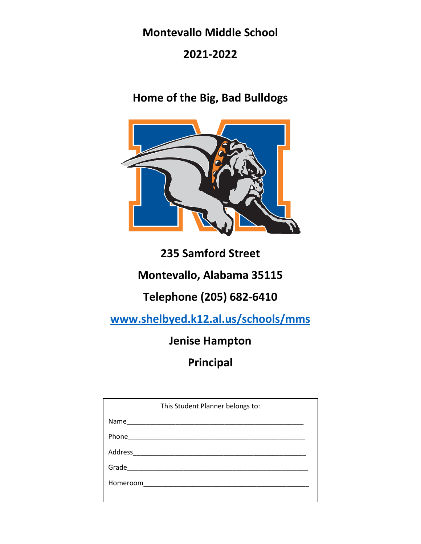# **Montevallo Middle School**

# **2021-2022**

# **Home of the Big, Bad Bulldogs**



# **235 Samford Street**

# **Montevallo, Alabama 35115**

# **Telephone (205) 682-6410**

**[www.shelbyed.k12.al.us/schools/mms](http://www.shelbyed.k12.al.us/schools/mms)**

# **Jenise Hampton**

# **Principal**

| This Student Planner belongs to: |  |
|----------------------------------|--|
| Name                             |  |
|                                  |  |
| Address ______________________   |  |
|                                  |  |
|                                  |  |
|                                  |  |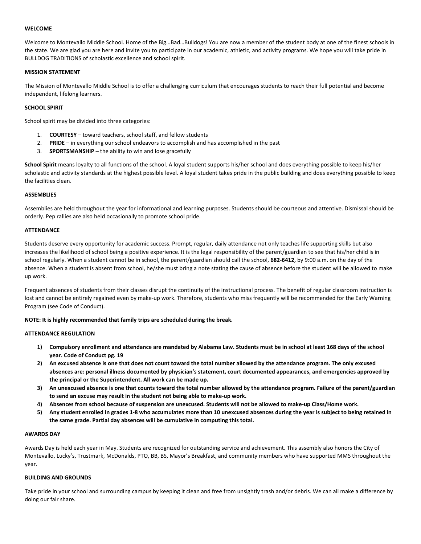## **WELCOME**

Welcome to Montevallo Middle School. Home of the Big…Bad…Bulldogs! You are now a member of the student body at one of the finest schools in the state. We are glad you are here and invite you to participate in our academic, athletic, and activity programs. We hope you will take pride in BULLDOG TRADITIONS of scholastic excellence and school spirit.

## **MISSION STATEMENT**

The Mission of Montevallo Middle School is to offer a challenging curriculum that encourages students to reach their full potential and become independent, lifelong learners.

## **SCHOOL SPIRIT**

School spirit may be divided into three categories:

- 1. **COURTESY** toward teachers, school staff, and fellow students
- 2. **PRIDE**  in everything our school endeavors to accomplish and has accomplished in the past
- 3. **SPORTSMANSHIP**  the ability to win and lose gracefully

**School Spirit** means loyalty to all functions of the school. A loyal student supports his/her school and does everything possible to keep his/her scholastic and activity standards at the highest possible level. A loyal student takes pride in the public building and does everything possible to keep the facilities clean.

## **ASSEMBLIES**

Assemblies are held throughout the year for informational and learning purposes. Students should be courteous and attentive. Dismissal should be orderly. Pep rallies are also held occasionally to promote school pride.

## **ATTENDANCE**

Students deserve every opportunity for academic success. Prompt, regular, daily attendance not only teaches life supporting skills but also increases the likelihood of school being a positive experience. It is the legal responsibility of the parent/guardian to see that his/her child is in school regularly. When a student cannot be in school, the parent/guardian should call the school, **682-6412,** by 9:00 a.m. on the day of the absence. When a student is absent from school, he/she must bring a note stating the cause of absence before the student will be allowed to make up work.

Frequent absences of students from their classes disrupt the continuity of the instructional process. The benefit of regular classroom instruction is lost and cannot be entirely regained even by make-up work. Therefore, students who miss frequently will be recommended for the Early Warning Program (see Code of Conduct).

## **NOTE: It is highly recommended that family trips are scheduled during the break.**

## **ATTENDANCE REGULATION**

- **1) Compulsory enrollment and attendance are mandated by Alabama Law. Students must be in school at least 168 days of the school year. Code of Conduct pg. 19**
- **2) An excused absence is one that does not count toward the total number allowed by the attendance program. The only excused absences are: personal illness documented by physician's statement, court documented appearances, and emergencies approved by the principal or the Superintendent. All work can be made up.**
- **3) An unexcused absence is one that counts toward the total number allowed by the attendance program. Failure of the parent/guardian to send an excuse may result in the student not being able to make-up work.**
- **4) Absences from school because of suspension are unexcused. Students will not be allowed to make-up Class/Home work.**
- **5) Any student enrolled in grades 1-8 who accumulates more than 10 unexcused absences during the year is subject to being retained in the same grade. Partial day absences will be cumulative in computing this total.**

## **AWARDS DAY**

Awards Day is held each year in May. Students are recognized for outstanding service and achievement. This assembly also honors the City of Montevallo, Lucky's, Trustmark, McDonalds, PTO, BB, BS, Mayor's Breakfast, and community members who have supported MMS throughout the year.

## **BUILDING AND GROUNDS**

Take pride in your school and surrounding campus by keeping it clean and free from unsightly trash and/or debris. We can all make a difference by doing our fair share.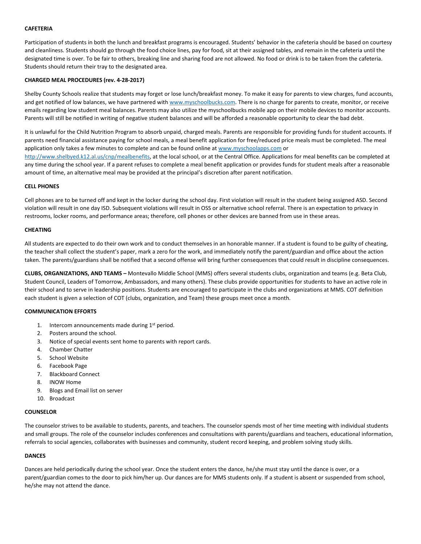## **CAFETERIA**

Participation of students in both the lunch and breakfast programs is encouraged. Students' behavior in the cafeteria should be based on courtesy and cleanliness. Students should go through the food choice lines, pay for food, sit at their assigned tables, and remain in the cafeteria until the designated time is over. To be fair to others, breaking line and sharing food are not allowed. No food or drink is to be taken from the cafeteria. Students should return their tray to the designated area.

## **CHARGED MEAL PROCEDURES (rev. 4-28-2017)**

Shelby County Schools realize that students may forget or lose lunch/breakfast money. To make it easy for parents to view charges, fund accounts, and get notified of low balances, we have partnered with [www.myschoolbucks.com.](http://www.myschoolbucks.com/) There is no charge for parents to create, monitor, or receive emails regarding low student meal balances. Parents may also utilize the myschoolbucks mobile app on their mobile devices to monitor accounts. Parents will still be notified in writing of negative student balances and will be afforded a reasonable opportunity to clear the bad debt.

It is unlawful for the Child Nutrition Program to absorb unpaid, charged meals. Parents are responsible for providing funds for student accounts. If parents need financial assistance paying for school meals, a meal benefit application for free/reduced price meals must be completed. The meal application only takes a few minutes to complete and can be found online a[t www.myschoolapps.com](http://www.myschoolapps.com/) or

[http://www.shelbyed.k12.al.us/cnp/mealbenefits,](http://www.shelbyed.k12.al.us/cnp/mealbenefits) at the local school, or at the Central Office. Applications for meal benefits can be completed at any time during the school year. If a parent refuses to complete a meal benefit application or provides funds for student meals after a reasonable amount of time, an alternative meal may be provided at the principal's discretion after parent notification.

## **CELL PHONES**

Cell phones are to be turned off and kept in the locker during the school day. First violation will result in the student being assigned ASD. Second violation will result in one day ISD. Subsequent violations will result in OSS or alternative school referral. There is an expectation to privacy in restrooms, locker rooms, and performance areas; therefore, cell phones or other devices are banned from use in these areas.

## **CHEATING**

All students are expected to do their own work and to conduct themselves in an honorable manner. If a student is found to be guilty of cheating, the teacher shall collect the student's paper, mark a zero for the work, and immediately notify the parent/guardian and office about the action taken. The parents/guardians shall be notified that a second offense will bring further consequences that could result in discipline consequences.

**CLUBS, ORGANIZATIONS, AND TEAMS –** Montevallo Middle School (MMS) offers several students clubs, organization and teams (e.g. Beta Club, Student Council, Leaders of Tomorrow, Ambassadors, and many others). These clubs provide opportunities for students to have an active role in their school and to serve in leadership positions. Students are encouraged to participate in the clubs and organizations at MMS. COT definition each student is given a selection of COT (clubs, organization, and Team) these groups meet once a month.

## **COMMUNICATION EFFORTS**

- 1. Intercom announcements made during  $1<sup>st</sup>$  period.
- 2. Posters around the school.
- 3. Notice of special events sent home to parents with report cards.
- 4. Chamber Chatter
- 5. School Website
- 6. Facebook Page
- 7. Blackboard Connect
- 8. INOW Home
- 9. Blogs and Email list on server
- 10. Broadcast

## **COUNSELOR**

The counselor strives to be available to students, parents, and teachers. The counselor spends most of her time meeting with individual students and small groups. The role of the counselor includes conferences and consultations with parents/guardians and teachers, educational information, referrals to social agencies, collaborates with businesses and community, student record keeping, and problem solving study skills.

## **DANCES**

Dances are held periodically during the school year. Once the student enters the dance, he/she must stay until the dance is over, or a parent/guardian comes to the door to pick him/her up. Our dances are for MMS students only. If a student is absent or suspended from school, he/she may not attend the dance.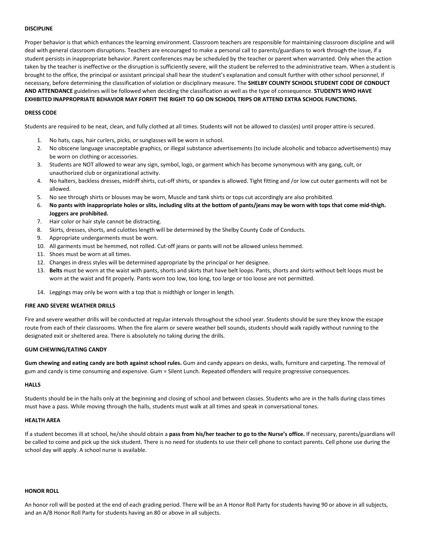### **DISCIPLINE**

Proper behavior is that which enhances the learning environment. Classroom teachers are responsible for maintaining classroom discipline and will deal with general classroom disruptions. Teachers are encouraged to make a personal call to parents/guardians to work through the issue, if a student persists in inappropriate behavior. Parent conferences may be scheduled by the teacher or parent when warranted. Only when the action taken by the teacher is ineffective or the disruption is sufficiently severe, will the student be referred to the administrative team. When a student is brought to the office, the principal or assistant principal shall hear the student's explanation and consult further with other school personnel, if necessary, before determining the classification of violation or disciplinary measure. The **SHELBY COUNTY SCHOOL STUDENT CODE OF CONDUCT AND ATTENDANCE** guidelines will be followed when deciding the classification as well as the type of consequence. **STUDENTS WHO HAVE EXHIBITED INAPPROPRIATE BEHAVIOR MAY FORFIT THE RIGHT TO GO ON SCHOOL TRIPS OR ATTEND EXTRA SCHOOL FUNCTIONS.** 

### **DRESS CODE**

Students are required to be neat, clean, and fully clothed at all times. Students will not be allowed to class(es) until proper attire is secured.

- 1. No hats, caps, hair curlers, picks, or sunglasses will be worn in school.
- 2. No obscene language unacceptable graphics, or illegal substance advertisements (to include alcoholic and tobacco advertisements) may be worn on clothing or accessories.
- 3. Students are NOT allowed to wear any sign, symbol, logo, or garment which has become synonymous with any gang, cult, or unauthorized club or organizational activity.
- 4. No halters, backless dresses, midriff shirts, cut-off shirts, or spandex is allowed. Tight fitting and /or low cut outer garments will not be allowed.
- 5. No see through shirts or blouses may be worn, Muscle and tank shirts or tops cut accordingly are also prohibited.
- 6. **No pants with inappropriate holes or slits, including slits at the bottom of pants/jeans may be worn with tops that come mid-thigh. Joggers are prohibited.**
- 7. Hair color or hair style cannot be distracting.
- 8. Skirts, dresses, shorts, and culottes length will be determined by the Shelby County Code of Conducts.
- 9. Appropriate undergarments must be worn.
- 10. All garments must be hemmed, not rolled. Cut-off jeans or pants will not be allowed unless hemmed.
- 11. Shoes must be worn at all times.
- 12. Changes in dress styles will be determined appropriate by the principal or her designee.
- 13. **Belts** must be worn at the waist with pants, shorts and skirts that have belt loops. Pants, shorts and skirts without belt loops must be worn at the waist and fit properly. Pants worn too low, too long, too large or too loose are not permitted.
- 14. Leggings may only be worn with a top that is midthigh or longer in length.

### **FIRE AND SEVERE WEATHER DRILLS**

Fire and severe weather drills will be conducted at regular intervals throughout the school year. Students should be sure they know the escape route from each of their classrooms. When the fire alarm or severe weather bell sounds, students should walk rapidly without running to the designated exit or sheltered area. There is absolutely no taking during the drills.

#### **GUM CHEWING/EATING CANDY**

**Gum chewing and eating candy are both against school rules.** Gum and candy appears on desks, walls, furniture and carpeting. The removal of gum and candy is time consuming and expensive. Gum = Silent Lunch. Repeated offenders will require progressive consequences.

## **HALLS**

Students should be in the halls only at the beginning and closing of school and between classes. Students who are in the halls during class times must have a pass. While moving through the halls, students must walk at all times and speak in conversational tones.

#### **HEALTH AREA**

If a student becomes ill at school, he/she should obtain a **pass from his/her teacher to go to the Nurse's office.** If necessary, parents/guardians will be called to come and pick up the sick student. There is no need for students to use their cell phone to contact parents. Cell phone use during the school day will apply. A school nurse is available.

#### **HONOR ROLL**

An honor roll will be posted at the end of each grading period. There will be an A Honor Roll Party for students having 90 or above in all subjects, and an A/B Honor Roll Party for students having an 80 or above in all subjects.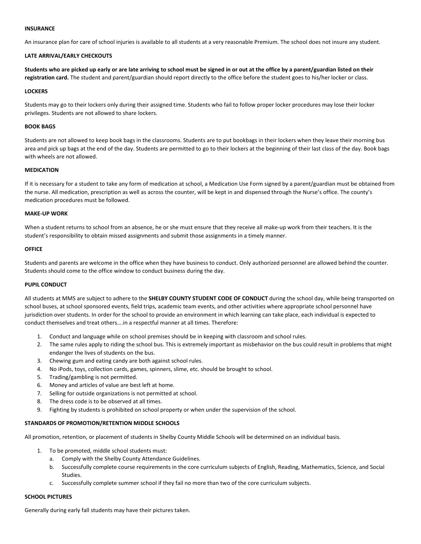## **INSURANCE**

An insurance plan for care of school injuries is available to all students at a very reasonable Premium. The school does not insure any student.

## **LATE ARRIVAL/EARLY CHECKOUTS**

**Students who are picked up early or are late arriving to school must be signed in or out at the office by a parent/guardian listed on their registration card.** The student and parent/guardian should report directly to the office before the student goes to his/her locker or class.

## **LOCKERS**

Students may go to their lockers only during their assigned time. Students who fail to follow proper locker procedures may lose their locker privileges. Students are not allowed to share lockers.

## **BOOK BAGS**

Students are not allowed to keep book bags in the classrooms. Students are to put bookbags in their lockers when they leave their morning bus area and pick up bags at the end of the day. Students are permitted to go to their lockers at the beginning of their last class of the day. Book bags with wheels are not allowed.

## **MEDICATION**

If it is necessary for a student to take any form of medication at school, a Medication Use Form signed by a parent/guardian must be obtained from the nurse. All medication, prescription as well as across the counter, will be kept in and dispensed through the Nurse's office. The county's medication procedures must be followed.

## **MAKE-UP WORK**

When a student returns to school from an absence, he or she must ensure that they receive all make-up work from their teachers. It is the student's responsibility to obtain missed assignments and submit those assignments in a timely manner.

## **OFFICE**

Students and parents are welcome in the office when they have business to conduct. Only authorized personnel are allowed behind the counter. Students should come to the office window to conduct business during the day.

## **PUPIL CONDUCT**

All students at MMS are subject to adhere to the **SHELBY COUNTY STUDENT CODE OF CONDUCT** during the school day, while being transported on school buses, at school sponsored events, field trips, academic team events, and other activities where appropriate school personnel have jurisdiction over students. In order for the school to provide an environment in which learning can take place, each individual is expected to conduct themselves and treat others….in a respectful manner at all times. Therefore:

- 1. Conduct and language while on school premises should be in keeping with classroom and school rules.
- 2. The same rules apply to riding the school bus. This is extremely important as misbehavior on the bus could result in problems that might endanger the lives of students on the bus.
- 3. Chewing gum and eating candy are both against school rules.
- 4. No iPods, toys, collection cards, games, spinners, slime, etc. should be brought to school.
- 5. Trading/gambling is not permitted.
- 6. Money and articles of value are best left at home.
- 7. Selling for outside organizations is not permitted at school.
- 8. The dress code is to be observed at all times.
- 9. Fighting by students is prohibited on school property or when under the supervision of the school.

## **STANDARDS OF PROMOTION/RETENTION MIDDLE SCHOOLS**

All promotion, retention, or placement of students in Shelby County Middle Schools will be determined on an individual basis.

- 1. To be promoted, middle school students must:
	- a. Comply with the Shelby County Attendance Guidelines.
	- b. Successfully complete course requirements in the core curriculum subjects of English, Reading, Mathematics, Science, and Social Studies.
	- c. Successfully complete summer school if they fail no more than two of the core curriculum subjects.

## **SCHOOL PICTURES**

Generally during early fall students may have their pictures taken.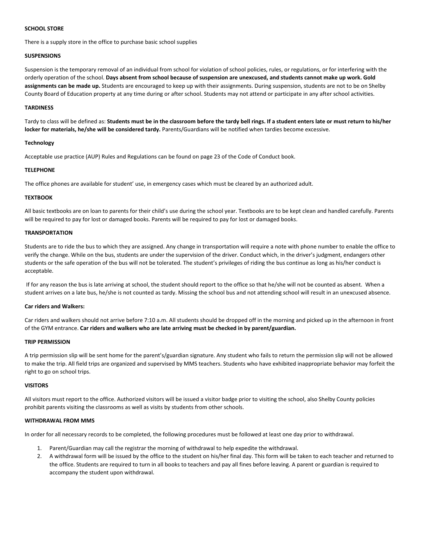## **SCHOOL STORE**

There is a supply store in the office to purchase basic school supplies

# **SUSPENSIONS**

Suspension is the temporary removal of an individual from school for violation of school policies, rules, or regulations, or for interfering with the orderly operation of the school. **Days absent from school because of suspension are unexcused, and students cannot make up work. Gold assignments can be made up.** Students are encouraged to keep up with their assignments. During suspension, students are not to be on Shelby County Board of Education property at any time during or after school. Students may not attend or participate in any after school activities.

## **TARDINESS**

Tardy to class will be defined as: **Students must be in the classroom before the tardy bell rings. If a student enters late or must return to his/her locker for materials, he/she will be considered tardy.** Parents/Guardians will be notified when tardies become excessive.

## **Technology**

Acceptable use practice (AUP) Rules and Regulations can be found on page 23 of the Code of Conduct book.

## **TELEPHONE**

The office phones are available for student' use, in emergency cases which must be cleared by an authorized adult.

## **TEXTBOOK**

All basic textbooks are on loan to parents for their child's use during the school year. Textbooks are to be kept clean and handled carefully. Parents will be required to pay for lost or damaged books. Parents will be required to pay for lost or damaged books.

## **TRANSPORTATION**

Students are to ride the bus to which they are assigned. Any change in transportation will require a note with phone number to enable the office to verify the change. While on the bus, students are under the supervision of the driver. Conduct which, in the driver's judgment, endangers other students or the safe operation of the bus will not be tolerated. The student's privileges of riding the bus continue as long as his/her conduct is acceptable.

If for any reason the bus is late arriving at school, the student should report to the office so that he/she will not be counted as absent. When a student arrives on a late bus, he/she is not counted as tardy. Missing the school bus and not attending school will result in an unexcused absence.

## **Car riders and Walkers:**

Car riders and walkers should not arrive before 7:10 a.m. All students should be dropped off in the morning and picked up in the afternoon in front of the GYM entrance. **Car riders and walkers who are late arriving must be checked in by parent/guardian.** 

## **TRIP PERMISSION**

A trip permission slip will be sent home for the parent's/guardian signature. Any student who fails to return the permission slip will not be allowed to make the trip. All field trips are organized and supervised by MMS teachers. Students who have exhibited inappropriate behavior may forfeit the right to go on school trips.

## **VISITORS**

All visitors must report to the office. Authorized visitors will be issued a visitor badge prior to visiting the school, also Shelby County policies prohibit parents visiting the classrooms as well as visits by students from other schools.

## **WITHDRAWAL FROM MMS**

In order for all necessary records to be completed, the following procedures must be followed at least one day prior to withdrawal.

- 1. Parent/Guardian may call the registrar the morning of withdrawal to help expedite the withdrawal.
- 2. A withdrawal form will be issued by the office to the student on his/her final day. This form will be taken to each teacher and returned to the office. Students are required to turn in all books to teachers and pay all fines before leaving. A parent or guardian is required to accompany the student upon withdrawal.